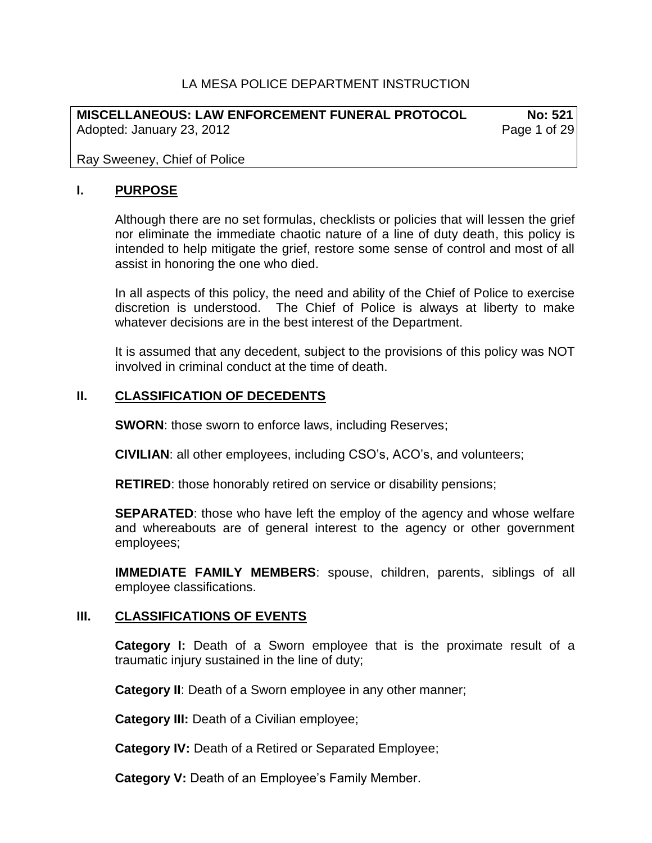### LA MESA POLICE DEPARTMENT INSTRUCTION

**MISCELLANEOUS: LAW ENFORCEMENT FUNERAL PROTOCOL No: 521** Adopted: January 23, 2012 **Page 1 of 29** 

Ray Sweeney, Chief of Police

#### **I. PURPOSE**

Although there are no set formulas, checklists or policies that will lessen the grief nor eliminate the immediate chaotic nature of a line of duty death, this policy is intended to help mitigate the grief, restore some sense of control and most of all assist in honoring the one who died.

In all aspects of this policy, the need and ability of the Chief of Police to exercise discretion is understood. The Chief of Police is always at liberty to make whatever decisions are in the best interest of the Department.

It is assumed that any decedent, subject to the provisions of this policy was NOT involved in criminal conduct at the time of death.

#### **II. CLASSIFICATION OF DECEDENTS**

**SWORN:** those sworn to enforce laws, including Reserves;

**CIVILIAN**: all other employees, including CSO's, ACO's, and volunteers;

**RETIRED**: those honorably retired on service or disability pensions;

**SEPARATED**: those who have left the employ of the agency and whose welfare and whereabouts are of general interest to the agency or other government employees;

**IMMEDIATE FAMILY MEMBERS**: spouse, children, parents, siblings of all employee classifications.

#### **III. CLASSIFICATIONS OF EVENTS**

**Category I:** Death of a Sworn employee that is the proximate result of a traumatic injury sustained in the line of duty;

**Category II**: Death of a Sworn employee in any other manner;

**Category III:** Death of a Civilian employee;

**Category IV:** Death of a Retired or Separated Employee;

**Category V:** Death of an Employee's Family Member.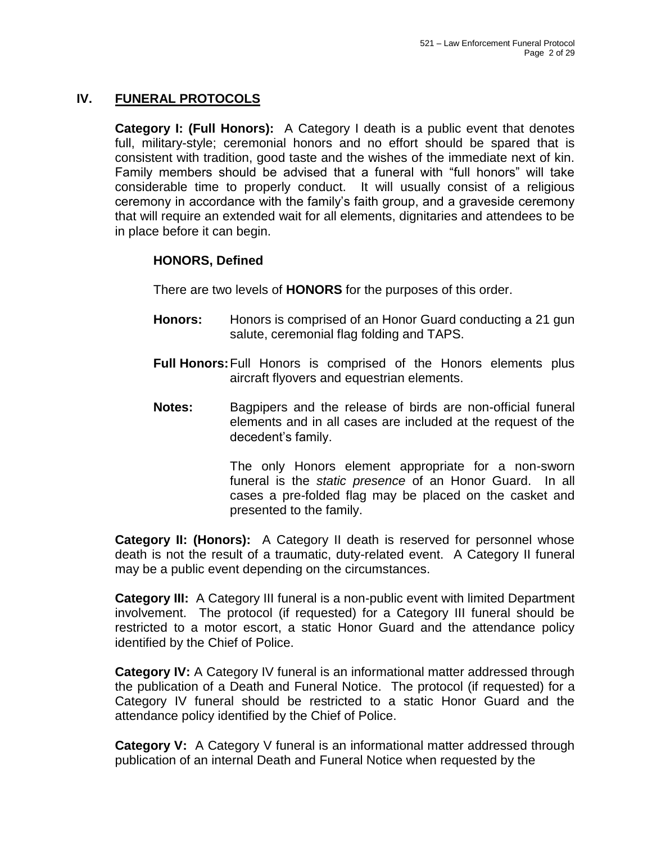## **IV. FUNERAL PROTOCOLS**

**Category I: (Full Honors):** A Category I death is a public event that denotes full, military-style; ceremonial honors and no effort should be spared that is consistent with tradition, good taste and the wishes of the immediate next of kin. Family members should be advised that a funeral with "full honors" will take considerable time to properly conduct. It will usually consist of a religious ceremony in accordance with the family's faith group, and a graveside ceremony that will require an extended wait for all elements, dignitaries and attendees to be in place before it can begin.

## **HONORS, Defined**

There are two levels of **HONORS** for the purposes of this order.

- **Honors:** Honors is comprised of an Honor Guard conducting a 21 gun salute, ceremonial flag folding and TAPS.
- **Full Honors:**Full Honors is comprised of the Honors elements plus aircraft flyovers and equestrian elements.
- **Notes:** Bagpipers and the release of birds are non-official funeral elements and in all cases are included at the request of the decedent's family.

The only Honors element appropriate for a non-sworn funeral is the *static presence* of an Honor Guard. In all cases a pre-folded flag may be placed on the casket and presented to the family.

**Category II: (Honors):** A Category II death is reserved for personnel whose death is not the result of a traumatic, duty-related event. A Category II funeral may be a public event depending on the circumstances.

**Category III:** A Category III funeral is a non-public event with limited Department involvement. The protocol (if requested) for a Category III funeral should be restricted to a motor escort, a static Honor Guard and the attendance policy identified by the Chief of Police.

**Category IV:** A Category IV funeral is an informational matter addressed through the publication of a Death and Funeral Notice. The protocol (if requested) for a Category IV funeral should be restricted to a static Honor Guard and the attendance policy identified by the Chief of Police.

**Category V:** A Category V funeral is an informational matter addressed through publication of an internal Death and Funeral Notice when requested by the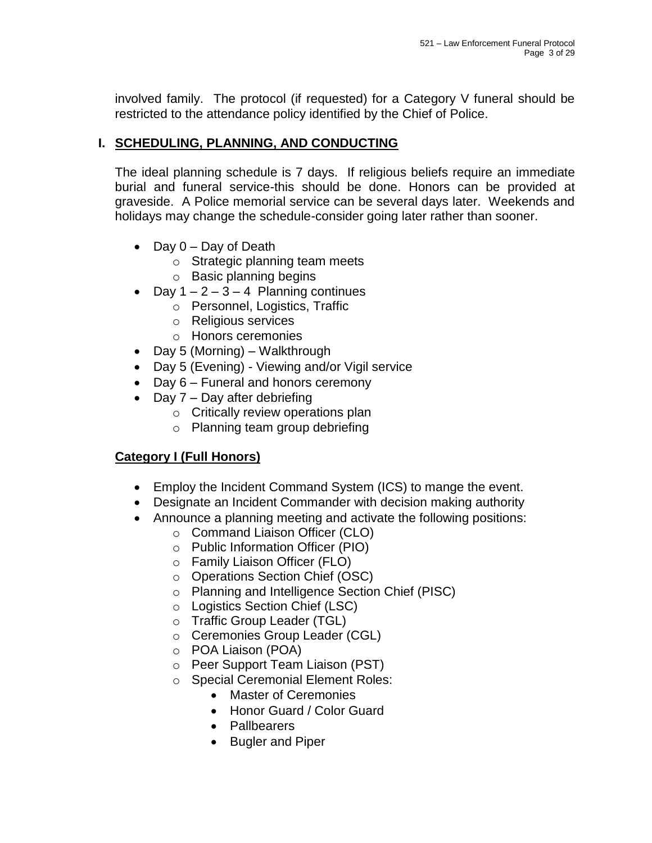involved family. The protocol (if requested) for a Category V funeral should be restricted to the attendance policy identified by the Chief of Police.

## **I. SCHEDULING, PLANNING, AND CONDUCTING**

The ideal planning schedule is 7 days. If religious beliefs require an immediate burial and funeral service-this should be done. Honors can be provided at graveside. A Police memorial service can be several days later. Weekends and holidays may change the schedule-consider going later rather than sooner.

- Day 0 Day of Death
	- o Strategic planning team meets
	- o Basic planning begins
- Day  $1 2 3 4$  Planning continues
	- o Personnel, Logistics, Traffic
	- o Religious services
	- o Honors ceremonies
- Day 5 (Morning) Walkthrough
- Day 5 (Evening) Viewing and/or Vigil service
- Day 6 Funeral and honors ceremony
- Day 7 Day after debriefing
	- o Critically review operations plan
	- o Planning team group debriefing

## **Category I (Full Honors)**

- Employ the Incident Command System (ICS) to mange the event.
- Designate an Incident Commander with decision making authority
- Announce a planning meeting and activate the following positions:
	- o Command Liaison Officer (CLO)
	- o Public Information Officer (PIO)
	- o Family Liaison Officer (FLO)
	- o Operations Section Chief (OSC)
	- o Planning and Intelligence Section Chief (PISC)
	- o Logistics Section Chief (LSC)
	- o Traffic Group Leader (TGL)
	- o Ceremonies Group Leader (CGL)
	- o POA Liaison (POA)
	- o Peer Support Team Liaison (PST)
	- o Special Ceremonial Element Roles:
		- Master of Ceremonies
		- Honor Guard / Color Guard
		- Pallbearers
		- Bugler and Piper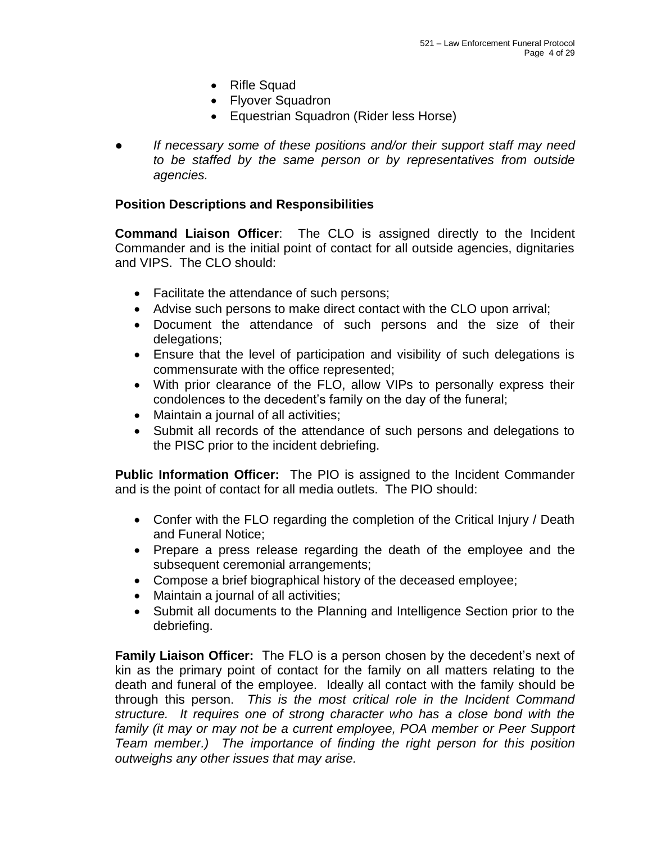- Rifle Squad
- Flyover Squadron
- Equestrian Squadron (Rider less Horse)
- *● If necessary some of these positions and/or their support staff may need to be staffed by the same person or by representatives from outside agencies.*

### **Position Descriptions and Responsibilities**

**Command Liaison Officer**: The CLO is assigned directly to the Incident Commander and is the initial point of contact for all outside agencies, dignitaries and VIPS. The CLO should:

- Facilitate the attendance of such persons;
- Advise such persons to make direct contact with the CLO upon arrival;
- Document the attendance of such persons and the size of their delegations;
- Ensure that the level of participation and visibility of such delegations is commensurate with the office represented;
- With prior clearance of the FLO, allow VIPs to personally express their condolences to the decedent's family on the day of the funeral;
- Maintain a journal of all activities;
- Submit all records of the attendance of such persons and delegations to the PISC prior to the incident debriefing.

**Public Information Officer:** The PIO is assigned to the Incident Commander and is the point of contact for all media outlets. The PIO should:

- Confer with the FLO regarding the completion of the Critical Injury / Death and Funeral Notice;
- Prepare a press release regarding the death of the employee and the subsequent ceremonial arrangements;
- Compose a brief biographical history of the deceased employee;
- Maintain a journal of all activities;
- Submit all documents to the Planning and Intelligence Section prior to the debriefing.

**Family Liaison Officer:** The FLO is a person chosen by the decedent's next of kin as the primary point of contact for the family on all matters relating to the death and funeral of the employee. Ideally all contact with the family should be through this person. *This is the most critical role in the Incident Command structure. It requires one of strong character who has a close bond with the*  family (it may or may not be a current employee, POA member or Peer Support *Team member.) The importance of finding the right person for this position outweighs any other issues that may arise.*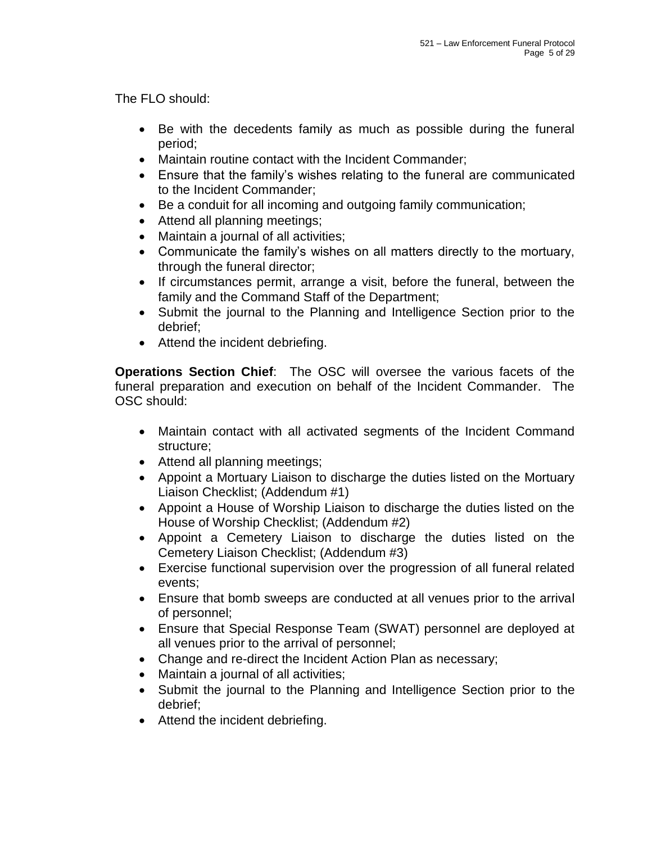The FLO should:

- Be with the decedents family as much as possible during the funeral period;
- Maintain routine contact with the Incident Commander;
- Ensure that the family's wishes relating to the funeral are communicated to the Incident Commander;
- Be a conduit for all incoming and outgoing family communication;
- Attend all planning meetings;
- Maintain a journal of all activities;
- Communicate the family's wishes on all matters directly to the mortuary, through the funeral director;
- If circumstances permit, arrange a visit, before the funeral, between the family and the Command Staff of the Department;
- Submit the journal to the Planning and Intelligence Section prior to the debrief;
- Attend the incident debriefing.

**Operations Section Chief**: The OSC will oversee the various facets of the funeral preparation and execution on behalf of the Incident Commander. The OSC should:

- Maintain contact with all activated segments of the Incident Command structure;
- Attend all planning meetings;
- Appoint a Mortuary Liaison to discharge the duties listed on the Mortuary Liaison Checklist; (Addendum #1)
- Appoint a House of Worship Liaison to discharge the duties listed on the House of Worship Checklist; (Addendum #2)
- Appoint a Cemetery Liaison to discharge the duties listed on the Cemetery Liaison Checklist; (Addendum #3)
- Exercise functional supervision over the progression of all funeral related events;
- Ensure that bomb sweeps are conducted at all venues prior to the arrival of personnel;
- Ensure that Special Response Team (SWAT) personnel are deployed at all venues prior to the arrival of personnel;
- Change and re-direct the Incident Action Plan as necessary;
- Maintain a journal of all activities;
- Submit the journal to the Planning and Intelligence Section prior to the debrief;
- Attend the incident debriefing.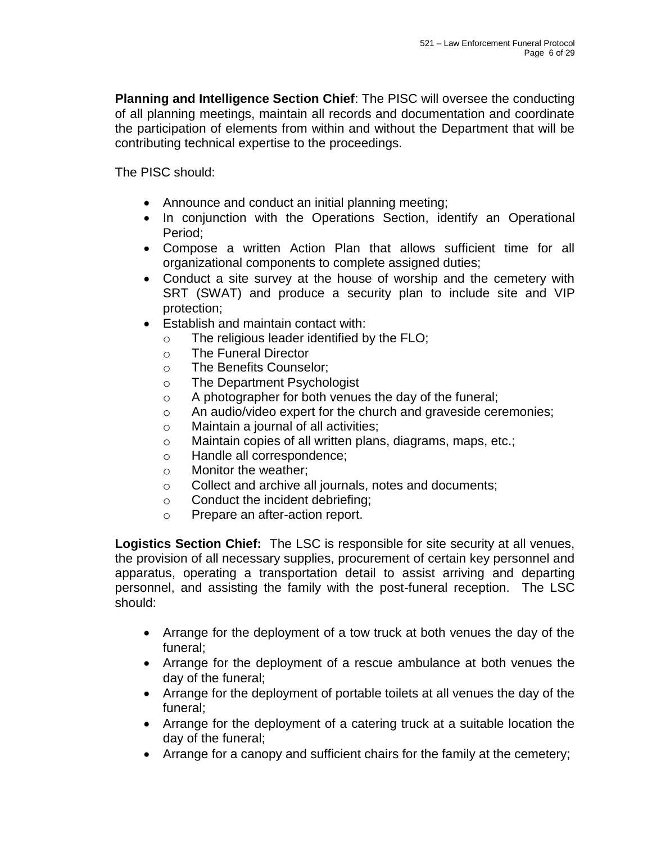**Planning and Intelligence Section Chief**: The PISC will oversee the conducting of all planning meetings, maintain all records and documentation and coordinate the participation of elements from within and without the Department that will be contributing technical expertise to the proceedings.

The PISC should:

- Announce and conduct an initial planning meeting;
- In conjunction with the Operations Section, identify an Operational Period;
- Compose a written Action Plan that allows sufficient time for all organizational components to complete assigned duties;
- Conduct a site survey at the house of worship and the cemetery with SRT (SWAT) and produce a security plan to include site and VIP protection;
- Establish and maintain contact with:
	- o The religious leader identified by the FLO;
	- o The Funeral Director
	- o The Benefits Counselor;
	- o The Department Psychologist
	- o A photographer for both venues the day of the funeral;
	- o An audio/video expert for the church and graveside ceremonies;
	- o Maintain a journal of all activities;
	- o Maintain copies of all written plans, diagrams, maps, etc.;
	- o Handle all correspondence;
	- o Monitor the weather;
	- o Collect and archive all journals, notes and documents;
	- o Conduct the incident debriefing;
	- o Prepare an after-action report.

**Logistics Section Chief:** The LSC is responsible for site security at all venues, the provision of all necessary supplies, procurement of certain key personnel and apparatus, operating a transportation detail to assist arriving and departing personnel, and assisting the family with the post-funeral reception. The LSC should:

- Arrange for the deployment of a tow truck at both venues the day of the funeral;
- Arrange for the deployment of a rescue ambulance at both venues the day of the funeral;
- Arrange for the deployment of portable toilets at all venues the day of the funeral;
- Arrange for the deployment of a catering truck at a suitable location the day of the funeral;
- Arrange for a canopy and sufficient chairs for the family at the cemetery;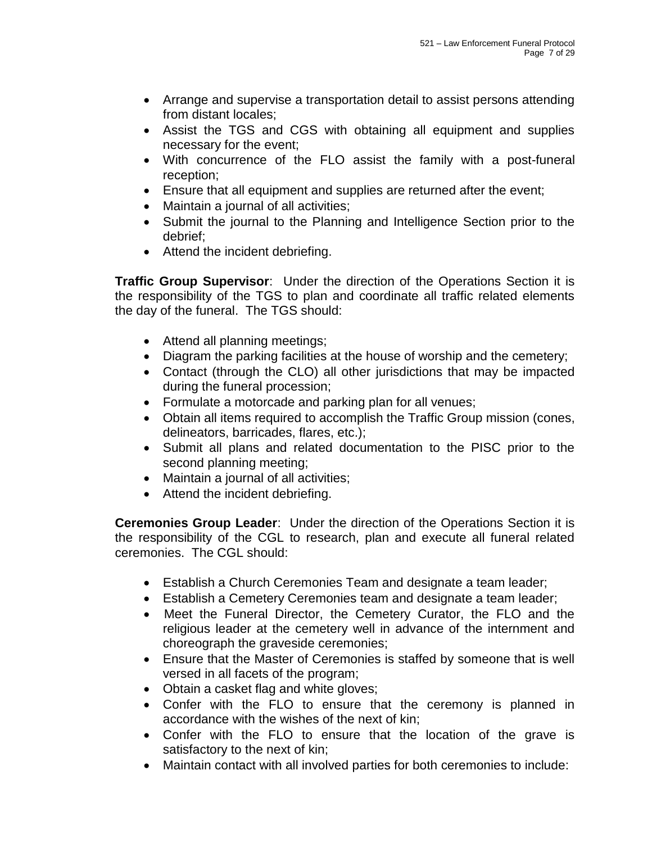- Arrange and supervise a transportation detail to assist persons attending from distant locales;
- Assist the TGS and CGS with obtaining all equipment and supplies necessary for the event;
- With concurrence of the FLO assist the family with a post-funeral reception;
- Ensure that all equipment and supplies are returned after the event;
- Maintain a journal of all activities;
- Submit the journal to the Planning and Intelligence Section prior to the debrief;
- Attend the incident debriefing.

**Traffic Group Supervisor**: Under the direction of the Operations Section it is the responsibility of the TGS to plan and coordinate all traffic related elements the day of the funeral. The TGS should:

- Attend all planning meetings;
- Diagram the parking facilities at the house of worship and the cemetery;
- Contact (through the CLO) all other jurisdictions that may be impacted during the funeral procession;
- Formulate a motorcade and parking plan for all venues;
- Obtain all items required to accomplish the Traffic Group mission (cones, delineators, barricades, flares, etc.);
- Submit all plans and related documentation to the PISC prior to the second planning meeting;
- Maintain a journal of all activities;
- Attend the incident debriefing.

**Ceremonies Group Leader**: Under the direction of the Operations Section it is the responsibility of the CGL to research, plan and execute all funeral related ceremonies. The CGL should:

- Establish a Church Ceremonies Team and designate a team leader;
- Establish a Cemetery Ceremonies team and designate a team leader;
- Meet the Funeral Director, the Cemetery Curator, the FLO and the religious leader at the cemetery well in advance of the internment and choreograph the graveside ceremonies;
- Ensure that the Master of Ceremonies is staffed by someone that is well versed in all facets of the program;
- Obtain a casket flag and white gloves;
- Confer with the FLO to ensure that the ceremony is planned in accordance with the wishes of the next of kin;
- Confer with the FLO to ensure that the location of the grave is satisfactory to the next of kin;
- Maintain contact with all involved parties for both ceremonies to include: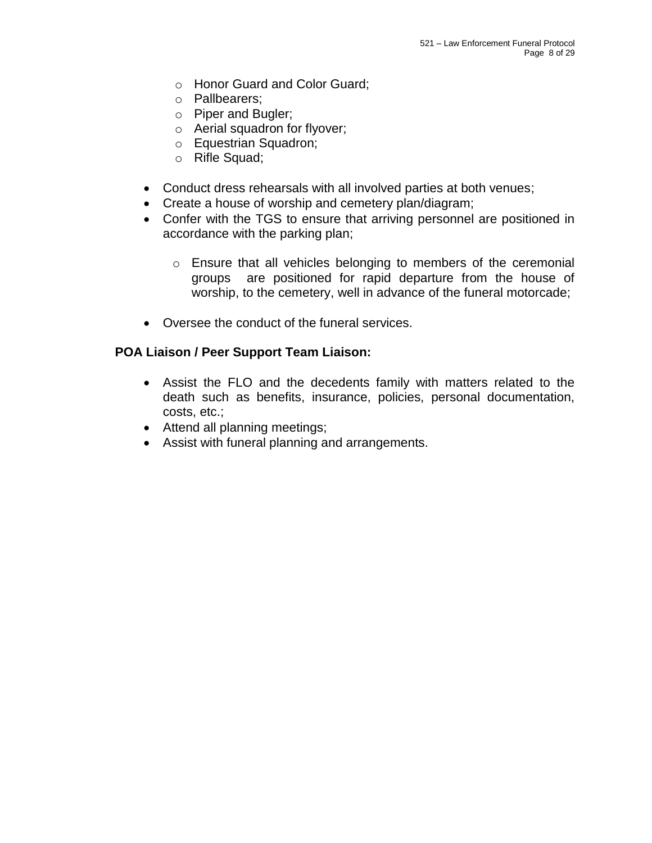- o Honor Guard and Color Guard;
- o Pallbearers;
- o Piper and Bugler;
- o Aerial squadron for flyover;
- o Equestrian Squadron;
- o Rifle Squad;
- Conduct dress rehearsals with all involved parties at both venues;
- Create a house of worship and cemetery plan/diagram;
- Confer with the TGS to ensure that arriving personnel are positioned in accordance with the parking plan;
	- o Ensure that all vehicles belonging to members of the ceremonial groups are positioned for rapid departure from the house of worship, to the cemetery, well in advance of the funeral motorcade;
- Oversee the conduct of the funeral services.

#### **POA Liaison / Peer Support Team Liaison:**

- Assist the FLO and the decedents family with matters related to the death such as benefits, insurance, policies, personal documentation, costs, etc.;
- Attend all planning meetings;
- Assist with funeral planning and arrangements.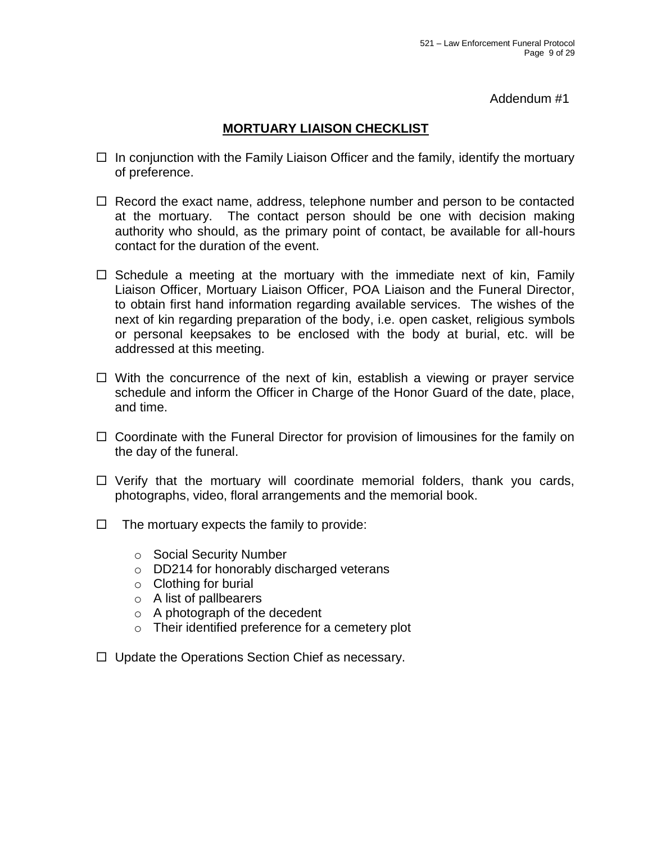Addendum #1

## **MORTUARY LIAISON CHECKLIST**

- $\Box$  In conjunction with the Family Liaison Officer and the family, identify the mortuary of preference.
- $\Box$  Record the exact name, address, telephone number and person to be contacted at the mortuary. The contact person should be one with decision making authority who should, as the primary point of contact, be available for all-hours contact for the duration of the event.
- $\Box$  Schedule a meeting at the mortuary with the immediate next of kin, Family Liaison Officer, Mortuary Liaison Officer, POA Liaison and the Funeral Director, to obtain first hand information regarding available services. The wishes of the next of kin regarding preparation of the body, i.e. open casket, religious symbols or personal keepsakes to be enclosed with the body at burial, etc. will be addressed at this meeting.
- $\Box$  With the concurrence of the next of kin, establish a viewing or prayer service schedule and inform the Officer in Charge of the Honor Guard of the date, place, and time.
- $\Box$  Coordinate with the Funeral Director for provision of limousines for the family on the day of the funeral.
- $\Box$  Verify that the mortuary will coordinate memorial folders, thank you cards, photographs, video, floral arrangements and the memorial book.
- $\Box$  The mortuary expects the family to provide:
	- o Social Security Number
	- o DD214 for honorably discharged veterans
	- $\circ$  Clothing for burial
	- o A list of pallbearers
	- o A photograph of the decedent
	- o Their identified preference for a cemetery plot
- $\Box$  Update the Operations Section Chief as necessary.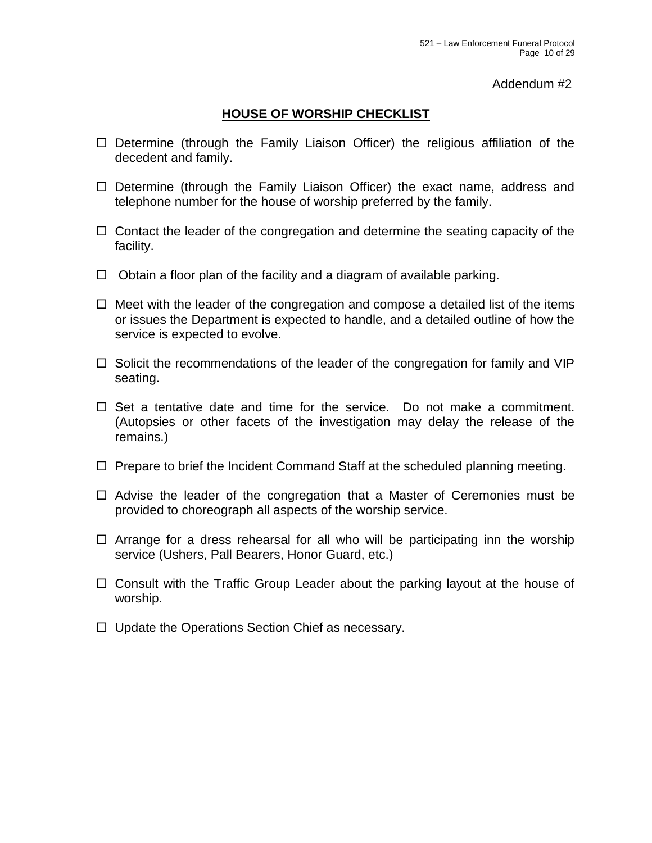#### Addendum #2

### **HOUSE OF WORSHIP CHECKLIST**

- $\Box$  Determine (through the Family Liaison Officer) the religious affiliation of the decedent and family.
- $\Box$  Determine (through the Family Liaison Officer) the exact name, address and telephone number for the house of worship preferred by the family.
- $\Box$  Contact the leader of the congregation and determine the seating capacity of the facility.
- $\Box$  Obtain a floor plan of the facility and a diagram of available parking.
- $\Box$  Meet with the leader of the congregation and compose a detailed list of the items or issues the Department is expected to handle, and a detailed outline of how the service is expected to evolve.
- $\Box$  Solicit the recommendations of the leader of the congregation for family and VIP seating.
- $\Box$  Set a tentative date and time for the service. Do not make a commitment. (Autopsies or other facets of the investigation may delay the release of the remains.)
- $\Box$  Prepare to brief the Incident Command Staff at the scheduled planning meeting.
- $\Box$  Advise the leader of the congregation that a Master of Ceremonies must be provided to choreograph all aspects of the worship service.
- $\Box$  Arrange for a dress rehearsal for all who will be participating inn the worship service (Ushers, Pall Bearers, Honor Guard, etc.)
- $\Box$  Consult with the Traffic Group Leader about the parking layout at the house of worship.
- $\Box$  Update the Operations Section Chief as necessary.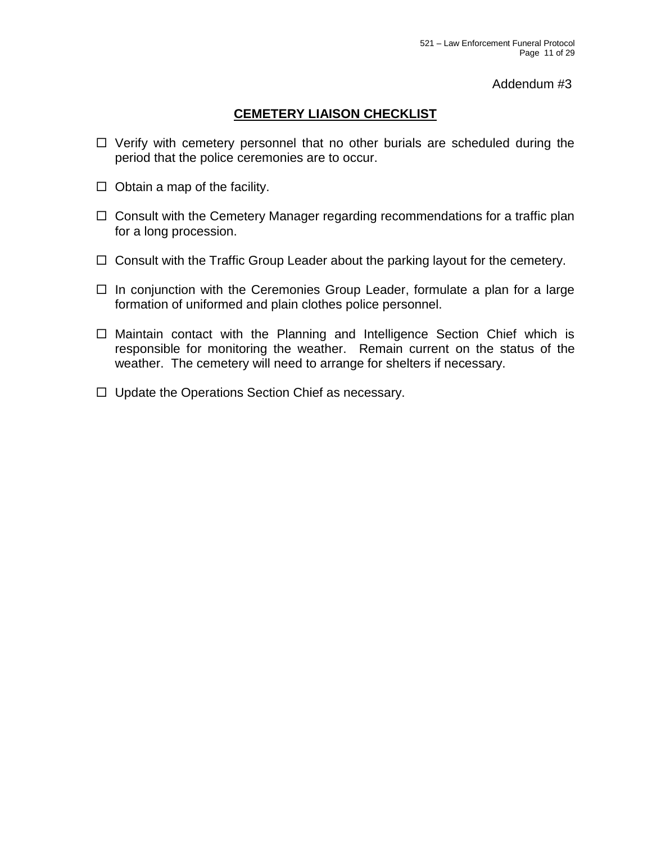#### Addendum #3

### **CEMETERY LIAISON CHECKLIST**

- $\Box$  Verify with cemetery personnel that no other burials are scheduled during the period that the police ceremonies are to occur.
- $\Box$  Obtain a map of the facility.
- $\Box$  Consult with the Cemetery Manager regarding recommendations for a traffic plan for a long procession.
- $\Box$  Consult with the Traffic Group Leader about the parking layout for the cemetery.
- $\Box$  In conjunction with the Ceremonies Group Leader, formulate a plan for a large formation of uniformed and plain clothes police personnel.
- $\Box$  Maintain contact with the Planning and Intelligence Section Chief which is responsible for monitoring the weather. Remain current on the status of the weather. The cemetery will need to arrange for shelters if necessary.
- $\Box$  Update the Operations Section Chief as necessary.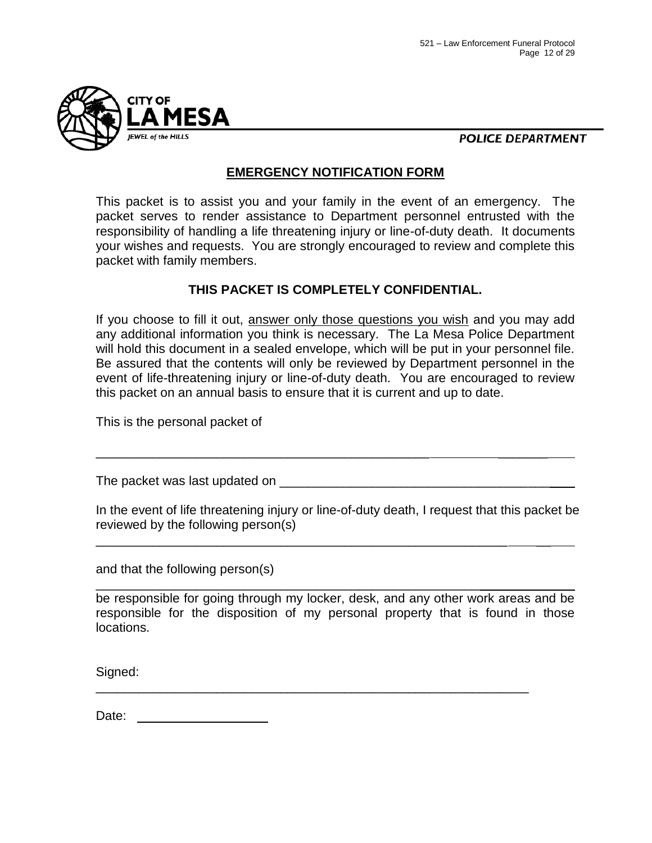

**POLICE DEPARTMENT** 

#### **EMERGENCY NOTIFICATION FORM**

This packet is to assist you and your family in the event of an emergency. The packet serves to render assistance to Department personnel entrusted with the responsibility of handling a life threatening injury or line-of-duty death. It documents your wishes and requests. You are strongly encouraged to review and complete this packet with family members.

### **THIS PACKET IS COMPLETELY CONFIDENTIAL.**

If you choose to fill it out, answer only those questions you wish and you may add any additional information you think is necessary. The La Mesa Police Department will hold this document in a sealed envelope, which will be put in your personnel file. Be assured that the contents will only be reviewed by Department personnel in the event of life-threatening injury or line-of-duty death. You are encouraged to review this packet on an annual basis to ensure that it is current and up to date.

This is the personal packet of

The packet was last updated on **EXALL** 

\_\_\_\_\_\_\_\_\_\_\_\_\_\_\_\_\_\_\_\_\_\_\_\_\_\_\_\_\_\_\_\_\_\_\_\_\_\_\_\_\_\_\_\_\_\_\_ \_\_\_\_\_\_\_

\_\_\_\_\_\_\_\_\_\_\_\_\_\_\_\_\_\_\_\_\_\_\_\_\_\_\_\_\_\_\_\_\_\_\_\_\_\_\_\_\_\_\_\_\_\_\_\_\_\_\_\_\_\_\_\_\_\_ \_\_

\_\_\_\_\_\_\_\_\_\_\_\_\_\_\_\_\_\_\_\_\_\_\_\_\_\_\_\_\_\_\_\_\_\_\_\_\_\_\_\_\_\_\_\_\_\_\_\_\_\_\_\_\_\_

In the event of life threatening injury or line-of-duty death, I request that this packet be reviewed by the following person(s)

and that the following person(s)

be responsible for going through my locker, desk, and any other work areas and be responsible for the disposition of my personal property that is found in those locations.

\_\_\_\_\_\_\_\_\_\_\_\_\_\_\_\_\_\_\_\_\_\_\_\_\_\_\_\_\_\_\_\_\_\_\_\_\_\_\_\_\_\_\_\_\_\_\_\_\_\_\_\_\_\_\_\_\_\_\_\_\_

Signed:

Date: <u>\_\_\_\_\_\_\_\_</u>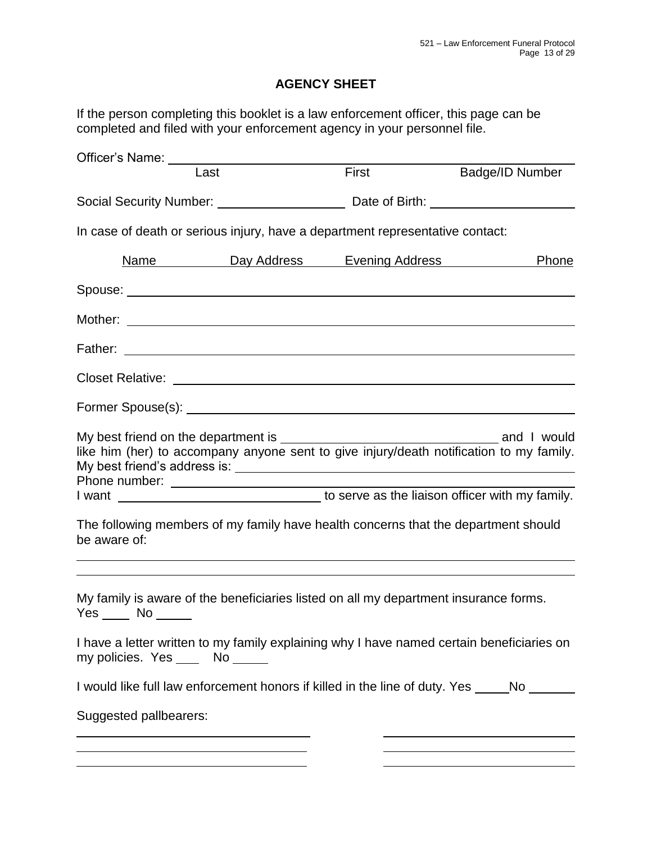## **AGENCY SHEET**

If the person completing this booklet is a law enforcement officer, this page can be completed and filed with your enforcement agency in your personnel file.

| Officer's Name: University                                                                                                                                                                                                           |                                         |       |                                                                                            |
|--------------------------------------------------------------------------------------------------------------------------------------------------------------------------------------------------------------------------------------|-----------------------------------------|-------|--------------------------------------------------------------------------------------------|
| Last                                                                                                                                                                                                                                 |                                         | First | Badge/ID Number                                                                            |
| Social Security Number: ___________________________________Date of Birth: __________________________                                                                                                                                 |                                         |       |                                                                                            |
| In case of death or serious injury, have a department representative contact:                                                                                                                                                        |                                         |       |                                                                                            |
|                                                                                                                                                                                                                                      | <u>Name Day Address Evening Address</u> |       | Phone                                                                                      |
|                                                                                                                                                                                                                                      |                                         |       |                                                                                            |
|                                                                                                                                                                                                                                      |                                         |       |                                                                                            |
|                                                                                                                                                                                                                                      |                                         |       |                                                                                            |
|                                                                                                                                                                                                                                      |                                         |       |                                                                                            |
| Former Spouse(s): <u>example and the set of the set of the set of the set of the set of the set of the set of the set of the set of the set of the set of the set of the set of the set of the set of the set of the set of the </u> |                                         |       |                                                                                            |
|                                                                                                                                                                                                                                      |                                         |       | like him (her) to accompany anyone sent to give injury/death notification to my family.    |
|                                                                                                                                                                                                                                      |                                         |       | I want <b>ware as the liaison officer with my family</b> .                                 |
| be aware of:                                                                                                                                                                                                                         |                                         |       | The following members of my family have health concerns that the department should         |
|                                                                                                                                                                                                                                      |                                         |       |                                                                                            |
| $Yes$ No $\_\_$                                                                                                                                                                                                                      |                                         |       | My family is aware of the beneficiaries listed on all my department insurance forms.       |
| my policies. Yes ______ No ______                                                                                                                                                                                                    |                                         |       | I have a letter written to my family explaining why I have named certain beneficiaries on  |
|                                                                                                                                                                                                                                      |                                         |       | I would like full law enforcement honors if killed in the line of duty. Yes _____No ______ |
| Suggested pallbearers:                                                                                                                                                                                                               |                                         |       |                                                                                            |
| <u> 1989 - Johann Barbara, martin amerikan per</u>                                                                                                                                                                                   |                                         |       |                                                                                            |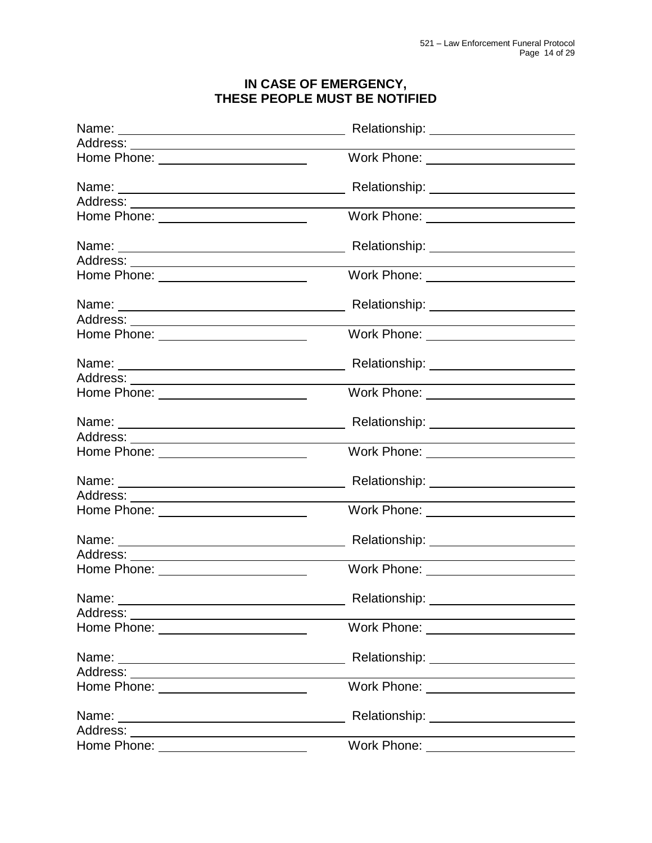#### **IN CASE OF EMERGENCY, THESE PEOPLE MUST BE NOTIFIED**

|                                                                                                                                                                                                                                      | Relationship: _______________________                                                                                 |  |
|--------------------------------------------------------------------------------------------------------------------------------------------------------------------------------------------------------------------------------------|-----------------------------------------------------------------------------------------------------------------------|--|
|                                                                                                                                                                                                                                      |                                                                                                                       |  |
| Home Phone: _________________________                                                                                                                                                                                                | Work Phone: <u>2008 - 2009 - 2009 - 2014</u>                                                                          |  |
|                                                                                                                                                                                                                                      | Relationship: _________________________                                                                               |  |
|                                                                                                                                                                                                                                      | the contract of the contract of the contract of the contract of the contract of                                       |  |
| Home Phone: ________________________                                                                                                                                                                                                 | Work Phone: ________________________                                                                                  |  |
|                                                                                                                                                                                                                                      | Relationship: ________________________                                                                                |  |
|                                                                                                                                                                                                                                      |                                                                                                                       |  |
| Home Phone: <u>New York Charles and Theory Charles and Theory Charles and Theory Charles and Theory Charles and Theory Charles and Theory Charles and Theory Charles and Theory Charles and Theory Charles and Theory Charles an</u> | Work Phone: __________________________                                                                                |  |
|                                                                                                                                                                                                                                      | Relationship: ________________________                                                                                |  |
|                                                                                                                                                                                                                                      |                                                                                                                       |  |
| Home Phone: ________________________                                                                                                                                                                                                 | Work Phone: _______________________                                                                                   |  |
| Name: Name: Name: Name: Name: Name: Name: Name: Name: Name: Name: Name: Name: Name: Name: Name: Name: Name: Name: Name: Name: Name: Name: Name: Name: Name: Name: Name: Name: Name: Name: Name: Name: Name: Name: Name: Name:        | Relationship: _________________________                                                                               |  |
|                                                                                                                                                                                                                                      | <u> 1989 - Johann Harry Harry Harry Harry Harry Harry Harry Harry Harry Harry Harry Harry Harry Harry Harry Harry</u> |  |
| Home Phone: _______________________                                                                                                                                                                                                  | Work Phone: ______________________                                                                                    |  |
|                                                                                                                                                                                                                                      |                                                                                                                       |  |
|                                                                                                                                                                                                                                      |                                                                                                                       |  |
| Home Phone: _________________________                                                                                                                                                                                                | Work Phone: _________________________                                                                                 |  |
|                                                                                                                                                                                                                                      | Relationship: ________________________                                                                                |  |
|                                                                                                                                                                                                                                      |                                                                                                                       |  |
| Home Phone: _________________________                                                                                                                                                                                                | Work Phone: _______________________                                                                                   |  |
|                                                                                                                                                                                                                                      | Relationship: __________________________                                                                              |  |
|                                                                                                                                                                                                                                      |                                                                                                                       |  |
| Home Phone: <u>_______________________</u>                                                                                                                                                                                           | Work Phone: ________________________                                                                                  |  |
| Name:                                                                                                                                                                                                                                |                                                                                                                       |  |
|                                                                                                                                                                                                                                      |                                                                                                                       |  |
| Home Phone: ________________________                                                                                                                                                                                                 | Work Phone: ________________________                                                                                  |  |
|                                                                                                                                                                                                                                      | Relationship: _______________________                                                                                 |  |
|                                                                                                                                                                                                                                      | <u> 1980 - Johann Stoff, deutscher Stoff, der Stoff, der Stoff, der Stoff, der Stoff, der Stoff, der Stoff, der S</u> |  |
| Home Phone: _______________________                                                                                                                                                                                                  | Work Phone: ________________________                                                                                  |  |
|                                                                                                                                                                                                                                      | Relationship: ________________________                                                                                |  |
|                                                                                                                                                                                                                                      | <u> 1989 - Johann Barnett, fransk konge og det forske forskellige og det forskellige og det forskellige og det f</u>  |  |
|                                                                                                                                                                                                                                      | Work Phone: ________________________                                                                                  |  |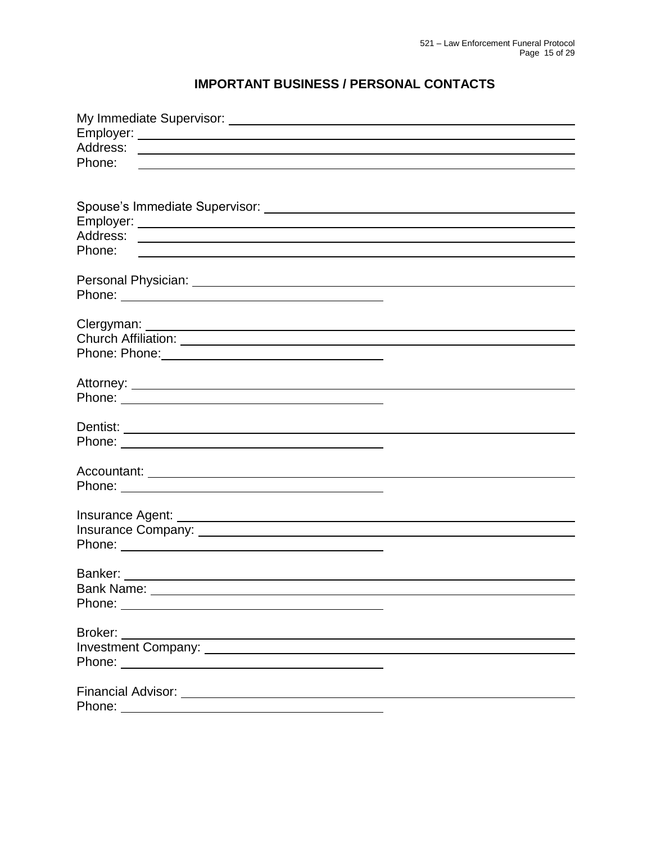## **IMPORTANT BUSINESS / PERSONAL CONTACTS**

| Phone:                                                                                                                           |  |
|----------------------------------------------------------------------------------------------------------------------------------|--|
|                                                                                                                                  |  |
|                                                                                                                                  |  |
|                                                                                                                                  |  |
|                                                                                                                                  |  |
|                                                                                                                                  |  |
| Phone:                                                                                                                           |  |
|                                                                                                                                  |  |
|                                                                                                                                  |  |
|                                                                                                                                  |  |
|                                                                                                                                  |  |
|                                                                                                                                  |  |
|                                                                                                                                  |  |
|                                                                                                                                  |  |
|                                                                                                                                  |  |
|                                                                                                                                  |  |
|                                                                                                                                  |  |
|                                                                                                                                  |  |
|                                                                                                                                  |  |
|                                                                                                                                  |  |
|                                                                                                                                  |  |
|                                                                                                                                  |  |
|                                                                                                                                  |  |
|                                                                                                                                  |  |
|                                                                                                                                  |  |
|                                                                                                                                  |  |
|                                                                                                                                  |  |
|                                                                                                                                  |  |
|                                                                                                                                  |  |
|                                                                                                                                  |  |
| Phone: <u>__________________________________</u>                                                                                 |  |
|                                                                                                                                  |  |
| Broker:<br><u> 1980 - Jan Samuel Barbara, martin da shekara 1980 - An tsara 1980 - An tsara 1980 - An tsara 1980 - An tsara </u> |  |
|                                                                                                                                  |  |
|                                                                                                                                  |  |
|                                                                                                                                  |  |
|                                                                                                                                  |  |
| Phone:<br><u> 1980 - Johann Barn, mars eta bainar eta bainar eta baina eta baina eta baina eta baina eta baina eta baina e</u>   |  |
|                                                                                                                                  |  |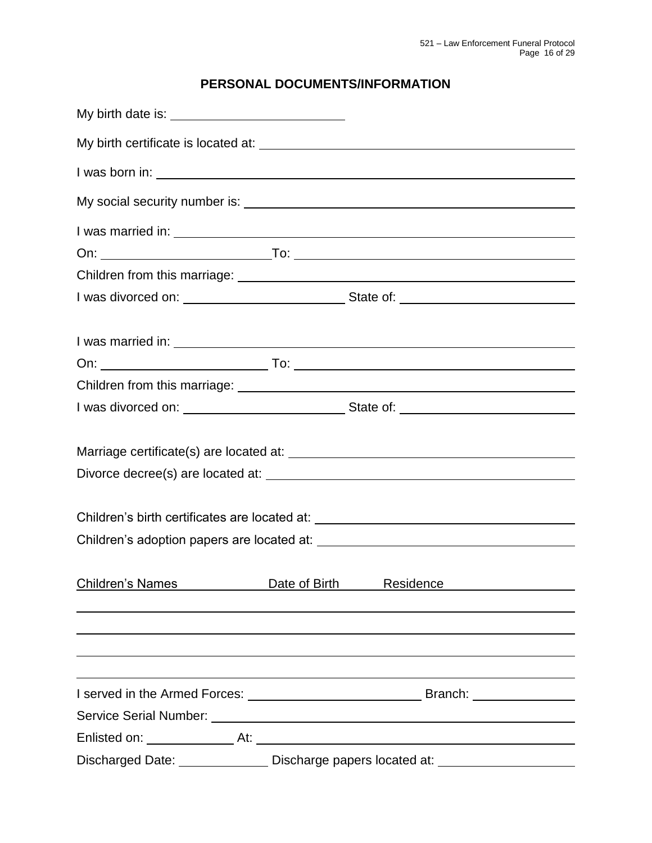## **PERSONAL DOCUMENTS/INFORMATION**

|                         | Children's birth certificates are located at: __________________________________ |
|-------------------------|----------------------------------------------------------------------------------|
|                         |                                                                                  |
| <b>Children's Names</b> | Date of Birth<br>Residence                                                       |
|                         |                                                                                  |
|                         |                                                                                  |
|                         |                                                                                  |
|                         |                                                                                  |
|                         |                                                                                  |
|                         | Discharged Date: ________________ Discharge papers located at: _________________ |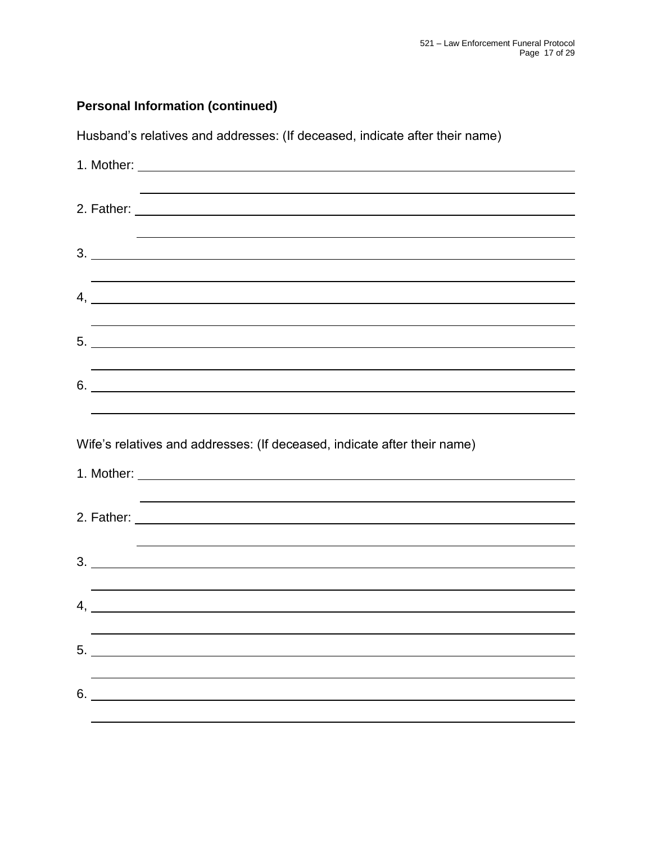## **Personal Information (continued)**

Husband's relatives and addresses: (If deceased, indicate after their name)

| 3.                                                                               |
|----------------------------------------------------------------------------------|
|                                                                                  |
| $4, \underline{\hspace{2cm}}$                                                    |
|                                                                                  |
|                                                                                  |
|                                                                                  |
| $6.$ $\overline{\phantom{a}}$                                                    |
|                                                                                  |
|                                                                                  |
|                                                                                  |
| Wife's relatives and addresses: (If deceased, indicate after their name)         |
|                                                                                  |
| ,我们也不会有什么。""我们的人,我们也不会有什么?""我们的人,我们也不会有什么?""我们的人,我们也不会有什么?""我们的人,我们也不会有什么?""我们的人 |
|                                                                                  |
| <u> 1989 - Andrea Andrew Maria (h. 1989).</u>                                    |
|                                                                                  |
|                                                                                  |
|                                                                                  |
|                                                                                  |
| 5.                                                                               |
| 6.                                                                               |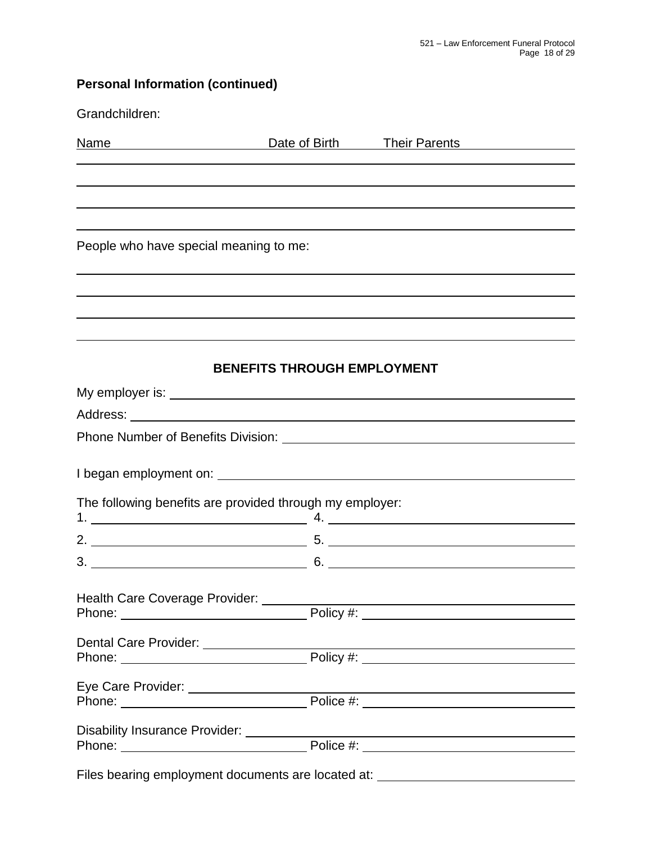| <b>Personal Information (continued)</b>                                                                                                                                                                                             |                                    |                                                   |  |  |  |  |
|-------------------------------------------------------------------------------------------------------------------------------------------------------------------------------------------------------------------------------------|------------------------------------|---------------------------------------------------|--|--|--|--|
| Grandchildren:                                                                                                                                                                                                                      |                                    |                                                   |  |  |  |  |
| Name Manne Date of Birth Their Parents                                                                                                                                                                                              |                                    |                                                   |  |  |  |  |
| <u> 1980 - Jan Samuel Barbara, martin din shekara ta 1980 - An tsara tsara tsara tsara tsara tsara tsara tsara t</u>                                                                                                                |                                    |                                                   |  |  |  |  |
|                                                                                                                                                                                                                                     |                                    |                                                   |  |  |  |  |
| People who have special meaning to me:                                                                                                                                                                                              |                                    |                                                   |  |  |  |  |
|                                                                                                                                                                                                                                     |                                    |                                                   |  |  |  |  |
|                                                                                                                                                                                                                                     |                                    |                                                   |  |  |  |  |
|                                                                                                                                                                                                                                     | <b>BENEFITS THROUGH EMPLOYMENT</b> |                                                   |  |  |  |  |
|                                                                                                                                                                                                                                     |                                    |                                                   |  |  |  |  |
|                                                                                                                                                                                                                                     |                                    |                                                   |  |  |  |  |
|                                                                                                                                                                                                                                     |                                    |                                                   |  |  |  |  |
|                                                                                                                                                                                                                                     |                                    |                                                   |  |  |  |  |
| The following benefits are provided through my employer:                                                                                                                                                                            |                                    |                                                   |  |  |  |  |
|                                                                                                                                                                                                                                     |                                    |                                                   |  |  |  |  |
| $3.$ 6.                                                                                                                                                                                                                             |                                    | <u> 1980 - Johann Barbara, martxa alemaniar a</u> |  |  |  |  |
| Health Care Coverage Provider: _________                                                                                                                                                                                            |                                    |                                                   |  |  |  |  |
| Dental Care Provider: <u>New York: Phone:</u> Policy #: New York: New York: New York: New York: New York: New York: New York: New York: New York: New York: New York: New York: New York: New York: New York: New York: New York: N |                                    |                                                   |  |  |  |  |
|                                                                                                                                                                                                                                     |                                    |                                                   |  |  |  |  |
| Disability Insurance Provider: ________                                                                                                                                                                                             |                                    |                                                   |  |  |  |  |

Files bearing employment documents are located at: \_\_\_\_\_\_\_\_\_\_\_\_\_\_\_\_\_\_\_\_\_\_\_\_\_\_\_\_\_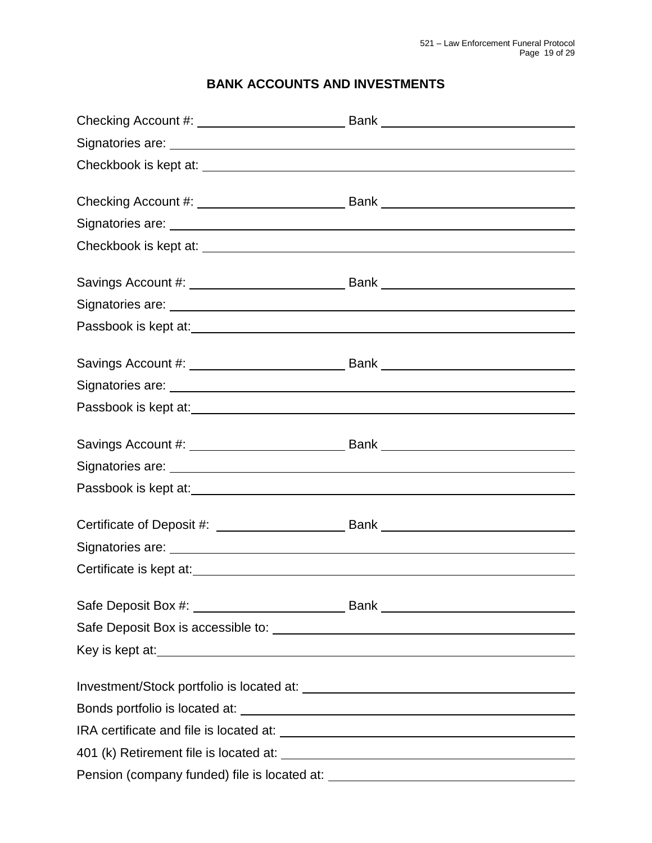## **BANK ACCOUNTS AND INVESTMENTS**

| Certificate is kept at:<br><u>Certificate</u> is kept at: |  |
|-----------------------------------------------------------|--|
|                                                           |  |
|                                                           |  |
|                                                           |  |
|                                                           |  |
|                                                           |  |
|                                                           |  |
|                                                           |  |
|                                                           |  |
|                                                           |  |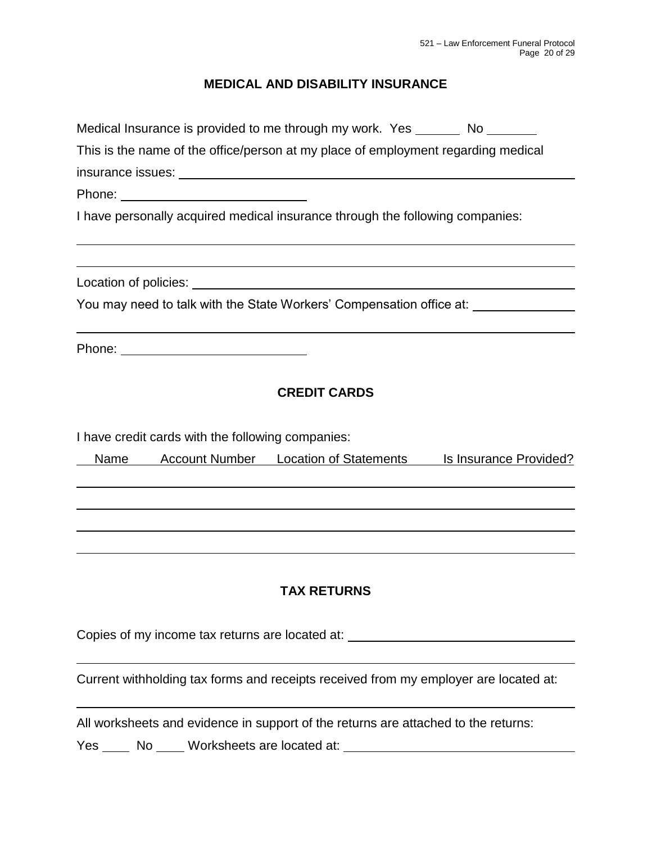## **MEDICAL AND DISABILITY INSURANCE**

| Medical Insurance is provided to me through my work. Yes _______ No _______          |
|--------------------------------------------------------------------------------------|
| This is the name of the office/person at my place of employment regarding medical    |
|                                                                                      |
|                                                                                      |
| I have personally acquired medical insurance through the following companies:        |
|                                                                                      |
| You may need to talk with the State Workers' Compensation office at: ___________     |
|                                                                                      |
| <b>CREDIT CARDS</b>                                                                  |
| I have credit cards with the following companies:                                    |
| <b>Account Number Location of Statements</b><br>Is Insurance Provided?<br>Name       |
|                                                                                      |
|                                                                                      |
| <b>TAX RETURNS</b>                                                                   |
| Copies of my income tax returns are located at: ________________________________     |
| Current withholding tax forms and receipts received from my employer are located at: |

All worksheets and evidence in support of the returns are attached to the returns:

Yes \_\_\_\_\_ No \_\_\_\_\_ Worksheets are located at: \_\_\_\_\_\_\_\_\_\_\_\_\_\_\_\_\_\_\_\_\_\_\_\_\_\_\_\_\_\_\_\_\_\_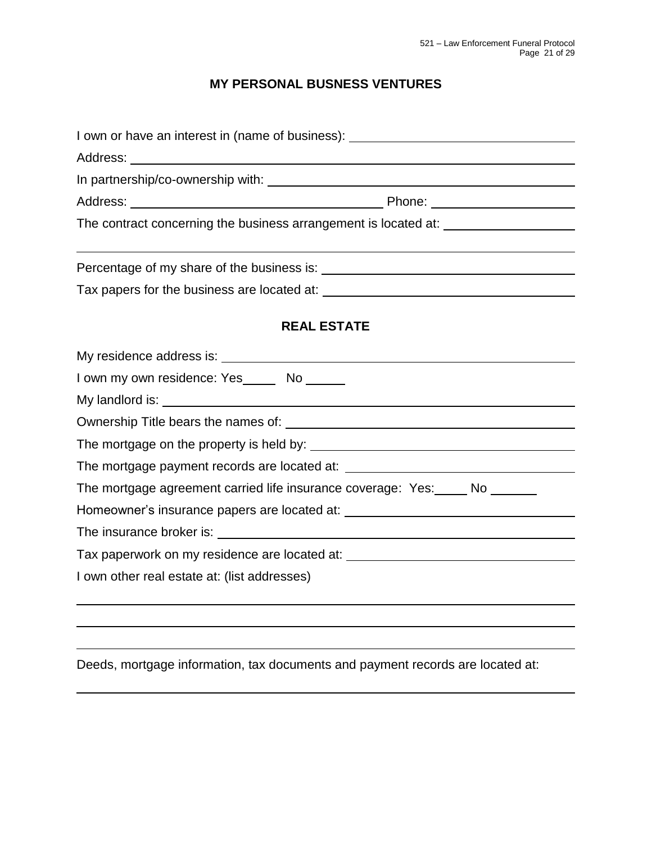## **MY PERSONAL BUSNESS VENTURES**

| I own or have an interest in (name of business): _______________________________                                                                                                                                               |
|--------------------------------------------------------------------------------------------------------------------------------------------------------------------------------------------------------------------------------|
|                                                                                                                                                                                                                                |
|                                                                                                                                                                                                                                |
|                                                                                                                                                                                                                                |
| The contract concerning the business arrangement is located at:                                                                                                                                                                |
|                                                                                                                                                                                                                                |
| Tax papers for the business are located at: The state of the state of the state of the state of the state of the state of the state of the state of the state of the state of the state of the state of the state of the state |
| <b>REAL ESTATE</b>                                                                                                                                                                                                             |
|                                                                                                                                                                                                                                |
| I own my own residence: Yes______ No ______                                                                                                                                                                                    |
|                                                                                                                                                                                                                                |
|                                                                                                                                                                                                                                |
|                                                                                                                                                                                                                                |
|                                                                                                                                                                                                                                |
| The mortgage agreement carried life insurance coverage: Yes: No ______                                                                                                                                                         |
|                                                                                                                                                                                                                                |
|                                                                                                                                                                                                                                |
|                                                                                                                                                                                                                                |
| I own other real estate at: (list addresses)                                                                                                                                                                                   |
|                                                                                                                                                                                                                                |
|                                                                                                                                                                                                                                |
|                                                                                                                                                                                                                                |

Deeds, mortgage information, tax documents and payment records are located at: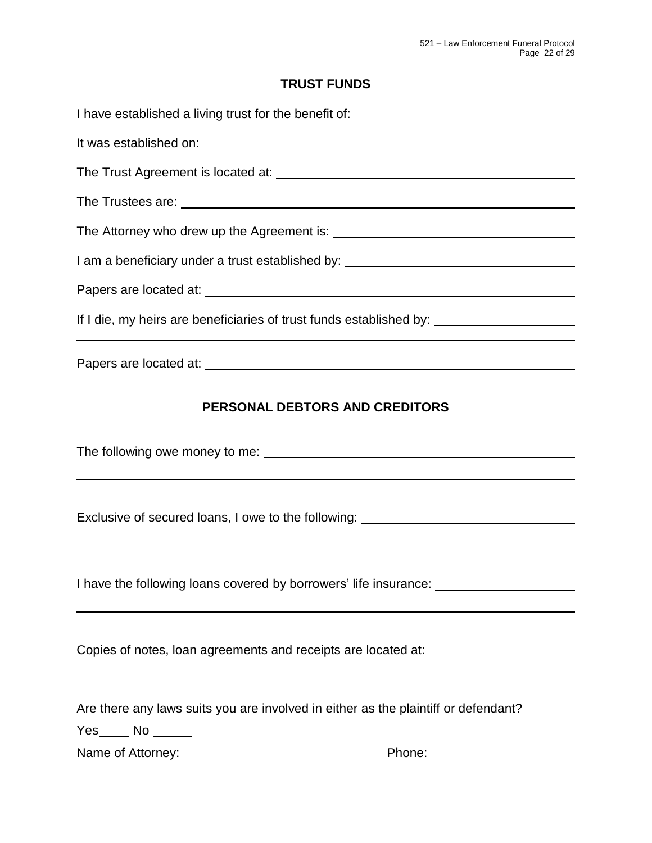## **TRUST FUNDS**

| I have established a living trust for the benefit of: ___________________________                          |  |  |  |  |
|------------------------------------------------------------------------------------------------------------|--|--|--|--|
|                                                                                                            |  |  |  |  |
|                                                                                                            |  |  |  |  |
|                                                                                                            |  |  |  |  |
|                                                                                                            |  |  |  |  |
| I am a beneficiary under a trust established by: _______________________________                           |  |  |  |  |
|                                                                                                            |  |  |  |  |
|                                                                                                            |  |  |  |  |
|                                                                                                            |  |  |  |  |
| PERSONAL DEBTORS AND CREDITORS                                                                             |  |  |  |  |
|                                                                                                            |  |  |  |  |
|                                                                                                            |  |  |  |  |
| Exclusive of secured loans, I owe to the following: ____________________________                           |  |  |  |  |
|                                                                                                            |  |  |  |  |
| I have the following loans covered by borrowers' life insurance:                                           |  |  |  |  |
|                                                                                                            |  |  |  |  |
| Copies of notes, loan agreements and receipts are located at:                                              |  |  |  |  |
| Are there any laws suits you are involved in either as the plaintiff or defendant?<br>$Yes$ No $\_\_\_\_\$ |  |  |  |  |
|                                                                                                            |  |  |  |  |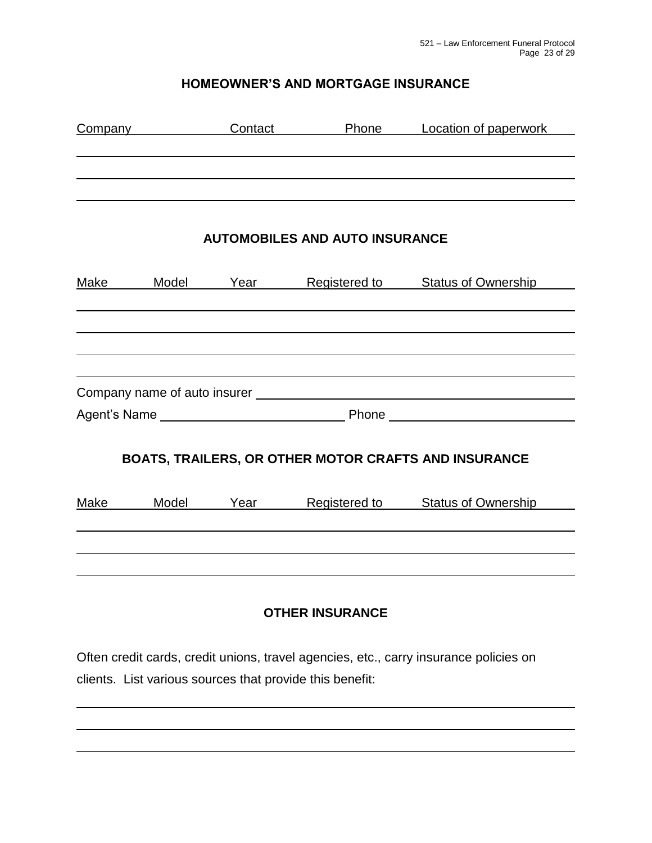## **HOMEOWNER'S AND MORTGAGE INSURANCE**

| <b>Company</b> |       | Contact | Phone                                 | Location of paperwork                                |
|----------------|-------|---------|---------------------------------------|------------------------------------------------------|
|                |       |         |                                       |                                                      |
|                |       |         |                                       |                                                      |
|                |       |         | <b>AUTOMOBILES AND AUTO INSURANCE</b> |                                                      |
| Make           | Model | Year    | Registered to                         | <b>Status of Ownership</b>                           |
|                |       |         |                                       |                                                      |
|                |       |         |                                       |                                                      |
|                |       |         |                                       |                                                      |
|                |       |         |                                       |                                                      |
|                |       |         |                                       |                                                      |
|                |       |         |                                       |                                                      |
|                |       |         |                                       | BOATS, TRAILERS, OR OTHER MOTOR CRAFTS AND INSURANCE |
| Make           | Model | Year    | Registered to                         | <b>Status of Ownership</b>                           |

# **OTHER INSURANCE**

Often credit cards, credit unions, travel agencies, etc., carry insurance policies on clients. List various sources that provide this benefit: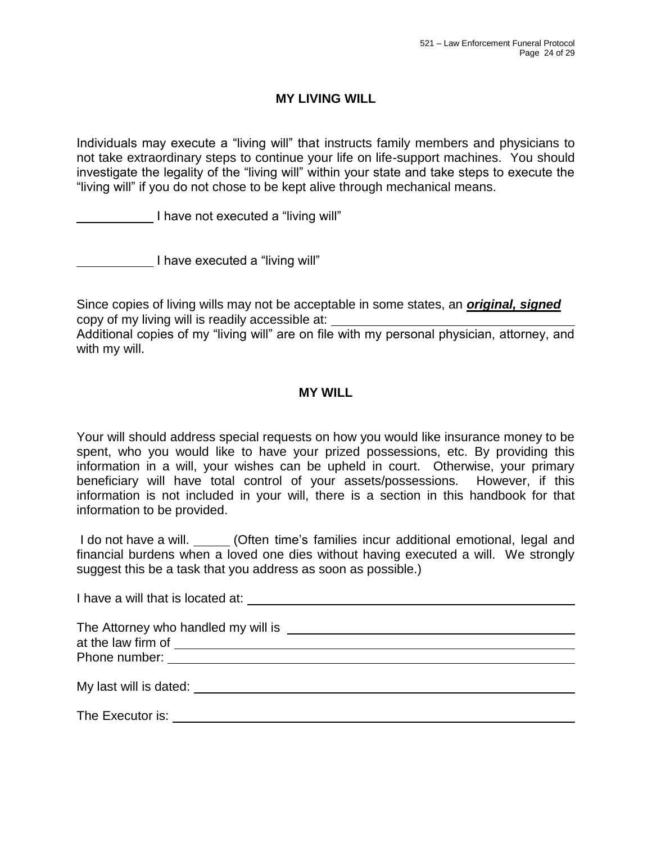### **MY LIVING WILL**

Individuals may execute a "living will" that instructs family members and physicians to not take extraordinary steps to continue your life on life-support machines. You should investigate the legality of the "living will" within your state and take steps to execute the "living will" if you do not chose to be kept alive through mechanical means.

I have not executed a "living will"

I have executed a "living will"

Since copies of living wills may not be acceptable in some states, an *original, signed* copy of my living will is readily accessible at:

Additional copies of my "living will" are on file with my personal physician, attorney, and with my will.

#### **MY WILL**

Your will should address special requests on how you would like insurance money to be spent, who you would like to have your prized possessions, etc. By providing this information in a will, your wishes can be upheld in court. Otherwise, your primary beneficiary will have total control of your assets/possessions. However, if this information is not included in your will, there is a section in this handbook for that information to be provided.

I do not have a will. (Often time's families incur additional emotional, legal and financial burdens when a loved one dies without having executed a will. We strongly suggest this be a task that you address as soon as possible.)

I have a will that is located at:

| The Attorney who handled my will is |  |  |
|-------------------------------------|--|--|
| at the law firm of                  |  |  |
| Phone number:                       |  |  |
|                                     |  |  |

My last will is dated:

The Executor is: **The Executor is:**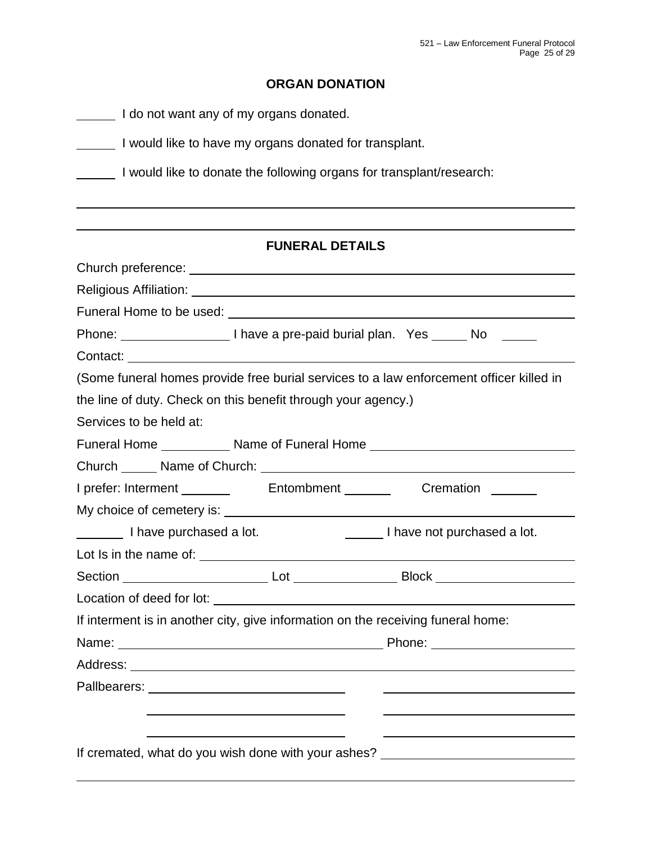## **ORGAN DONATION**

|                                                                      | I do not want any of my organs donated.                                                                               |                                                                                                                |  |  |  |  |
|----------------------------------------------------------------------|-----------------------------------------------------------------------------------------------------------------------|----------------------------------------------------------------------------------------------------------------|--|--|--|--|
| I would like to have my organs donated for transplant.               |                                                                                                                       |                                                                                                                |  |  |  |  |
| I would like to donate the following organs for transplant/research: |                                                                                                                       |                                                                                                                |  |  |  |  |
|                                                                      |                                                                                                                       |                                                                                                                |  |  |  |  |
|                                                                      | <b>FUNERAL DETAILS</b>                                                                                                |                                                                                                                |  |  |  |  |
|                                                                      |                                                                                                                       |                                                                                                                |  |  |  |  |
|                                                                      |                                                                                                                       |                                                                                                                |  |  |  |  |
|                                                                      |                                                                                                                       |                                                                                                                |  |  |  |  |
|                                                                      |                                                                                                                       |                                                                                                                |  |  |  |  |
|                                                                      |                                                                                                                       |                                                                                                                |  |  |  |  |
|                                                                      |                                                                                                                       | (Some funeral homes provide free burial services to a law enforcement officer killed in                        |  |  |  |  |
| the line of duty. Check on this benefit through your agency.)        |                                                                                                                       |                                                                                                                |  |  |  |  |
| Services to be held at:                                              |                                                                                                                       |                                                                                                                |  |  |  |  |
|                                                                      |                                                                                                                       | Funeral Home _____________ Name of Funeral Home ________________________________                               |  |  |  |  |
|                                                                      |                                                                                                                       |                                                                                                                |  |  |  |  |
|                                                                      |                                                                                                                       |                                                                                                                |  |  |  |  |
|                                                                      |                                                                                                                       |                                                                                                                |  |  |  |  |
| I have purchased a lot.                                              |                                                                                                                       | I have not purchased a lot.                                                                                    |  |  |  |  |
|                                                                      |                                                                                                                       |                                                                                                                |  |  |  |  |
| Section                                                              |                                                                                                                       |                                                                                                                |  |  |  |  |
|                                                                      |                                                                                                                       |                                                                                                                |  |  |  |  |
|                                                                      |                                                                                                                       | If interment is in another city, give information on the receiving funeral home:                               |  |  |  |  |
|                                                                      |                                                                                                                       | Name: Name: 2008 2012 2022 2023 2024 2022 2023 2024 2022 2023 2024 2022 2023 2024 2022 2023 2024 2022 2023 202 |  |  |  |  |
|                                                                      |                                                                                                                       |                                                                                                                |  |  |  |  |
|                                                                      |                                                                                                                       |                                                                                                                |  |  |  |  |
|                                                                      | <u> 1989 - Johann Stoff, deutscher Stoff, der Stoff, der Stoff, der Stoff, der Stoff, der Stoff, der Stoff, der S</u> |                                                                                                                |  |  |  |  |
|                                                                      | <u> 1989 - Johann Stoff, amerikansk politiker (d. 1989)</u>                                                           |                                                                                                                |  |  |  |  |
|                                                                      |                                                                                                                       | If cremated, what do you wish done with your ashes? ____________________________                               |  |  |  |  |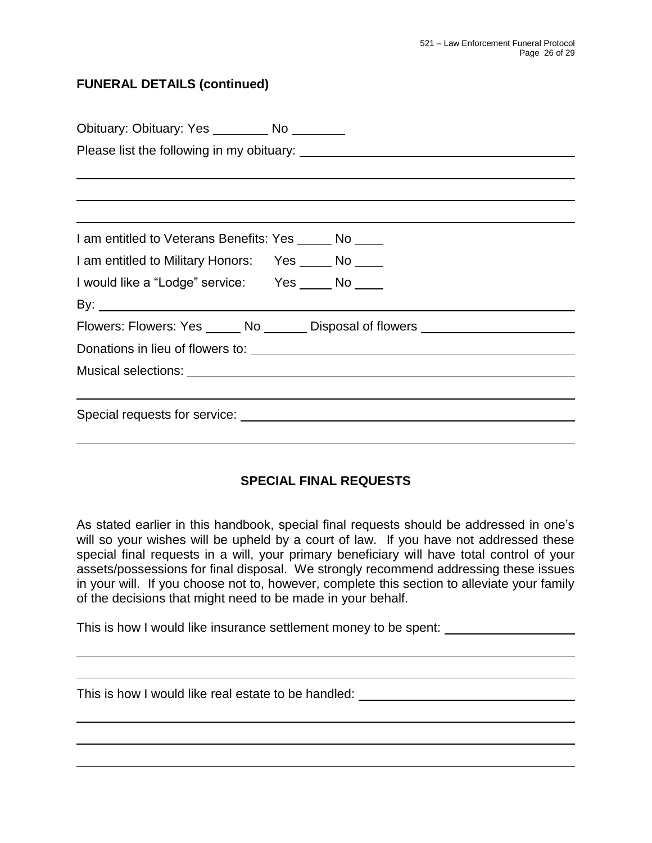### **FUNERAL DETAILS (continued)**

| Obituary: Obituary: Yes _________ No ________                                    |  |  |  |  |  |  |
|----------------------------------------------------------------------------------|--|--|--|--|--|--|
|                                                                                  |  |  |  |  |  |  |
|                                                                                  |  |  |  |  |  |  |
|                                                                                  |  |  |  |  |  |  |
| <u> 1989 - Johann Stoff, amerikansk politiker (* 1908)</u>                       |  |  |  |  |  |  |
| I am entitled to Veterans Benefits: Yes ______ No _____                          |  |  |  |  |  |  |
| I am entitled to Military Honors: Yes _____ No ____                              |  |  |  |  |  |  |
| I would like a "Lodge" service: Yes _____ No ____                                |  |  |  |  |  |  |
|                                                                                  |  |  |  |  |  |  |
| Flowers: Flowers: Yes ______ No _______ Disposal of flowers ____________________ |  |  |  |  |  |  |
|                                                                                  |  |  |  |  |  |  |
|                                                                                  |  |  |  |  |  |  |
| ,我们也不会有什么。""我们的人,我们也不会有什么?""我们的人,我们也不会有什么?""我们的人,我们也不会有什么?""我们的人,我们也不会有什么?""我们的人 |  |  |  |  |  |  |
|                                                                                  |  |  |  |  |  |  |
|                                                                                  |  |  |  |  |  |  |

## **SPECIAL FINAL REQUESTS**

As stated earlier in this handbook, special final requests should be addressed in one's will so your wishes will be upheld by a court of law. If you have not addressed these special final requests in a will, your primary beneficiary will have total control of your assets/possessions for final disposal. We strongly recommend addressing these issues in your will. If you choose not to, however, complete this section to alleviate your family of the decisions that might need to be made in your behalf.

This is how I would like insurance settlement money to be spent:

This is how I would like real estate to be handled: \_\_\_\_\_\_\_\_\_\_\_\_\_\_\_\_\_\_\_\_\_\_\_\_\_\_\_\_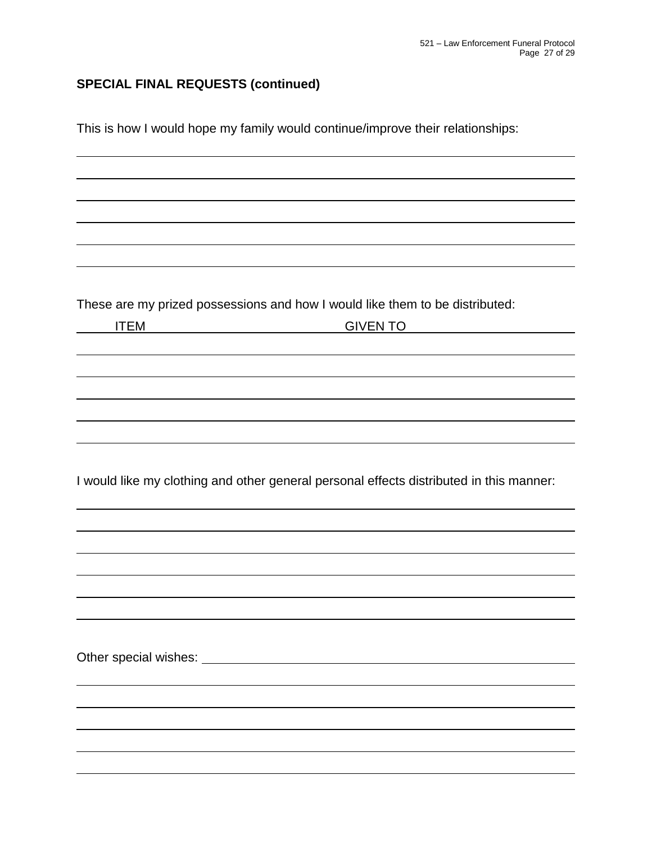# **SPECIAL FINAL REQUESTS (continued)**

This is how I would hope my family would continue/improve their relationships:

These are my prized possessions and how I would like them to be distributed:

| <b>ITEM</b> | <b>GIVEN TO</b>                                                                         |  |  |
|-------------|-----------------------------------------------------------------------------------------|--|--|
|             |                                                                                         |  |  |
|             |                                                                                         |  |  |
|             |                                                                                         |  |  |
|             |                                                                                         |  |  |
|             |                                                                                         |  |  |
|             |                                                                                         |  |  |
|             |                                                                                         |  |  |
|             |                                                                                         |  |  |
|             |                                                                                         |  |  |
|             | I would like my clothing and other general personal effects distributed in this manner: |  |  |
|             |                                                                                         |  |  |
|             |                                                                                         |  |  |
|             |                                                                                         |  |  |
|             |                                                                                         |  |  |
|             |                                                                                         |  |  |
|             |                                                                                         |  |  |
|             |                                                                                         |  |  |
|             |                                                                                         |  |  |
|             |                                                                                         |  |  |
|             |                                                                                         |  |  |
|             |                                                                                         |  |  |
|             |                                                                                         |  |  |
|             |                                                                                         |  |  |
|             |                                                                                         |  |  |
|             |                                                                                         |  |  |
|             |                                                                                         |  |  |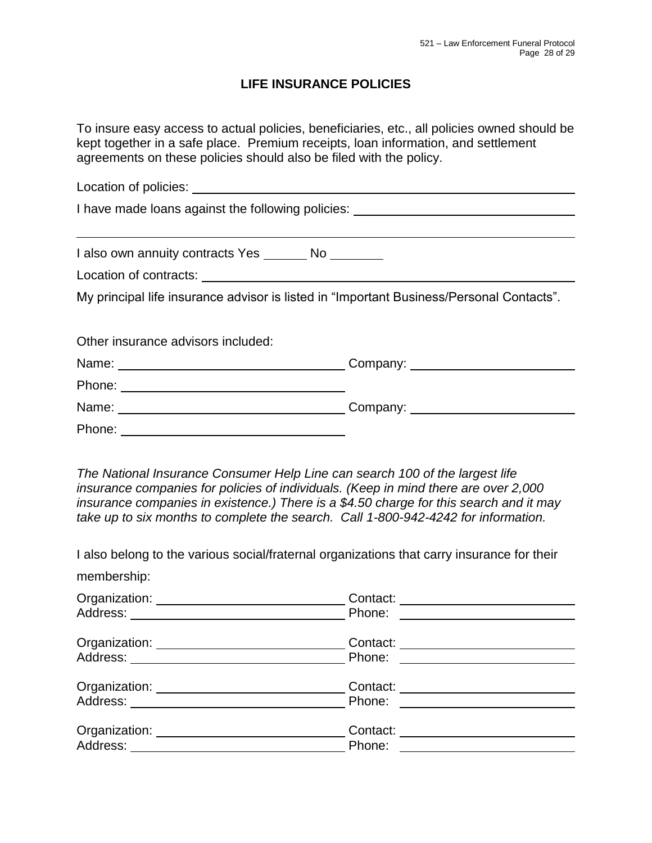### **LIFE INSURANCE POLICIES**

To insure easy access to actual policies, beneficiaries, etc., all policies owned should be kept together in a safe place. Premium receipts, loan information, and settlement agreements on these policies should also be filed with the policy.

Location of policies:<br>
<u>Location</u> of policies: I have made loans against the following policies: I also own annuity contracts Yes \_\_\_\_\_\_ No \_\_\_\_\_\_\_ Location of contracts: My principal life insurance advisor is listed in "Important Business/Personal Contacts". Other insurance advisors included: Name: Company: Company: Phone: Name: Name: Name: Name: Name: Name: Name: Name: Name: Name: Name: Name: Name: Name: Name: Name: Name: Name: Name: Name: Name: Name: Name: Name: Name: Name: Name: Name: Name: Name: Name: Name: Name: Name: Name: Name: Name: Phone:

*The National Insurance Consumer Help Line can search 100 of the largest life insurance companies for policies of individuals. (Keep in mind there are over 2,000 insurance companies in existence.) There is a \$4.50 charge for this search and it may take up to six months to complete the search. Call 1-800-942-4242 for information.*

I also belong to the various social/fraternal organizations that carry insurance for their membership:

| Organization: ___________________________                                                                                                                                                                                                                                                                                                         | Contact: ___________________________                                 |  |
|---------------------------------------------------------------------------------------------------------------------------------------------------------------------------------------------------------------------------------------------------------------------------------------------------------------------------------------------------|----------------------------------------------------------------------|--|
| Organization: ___________________________                                                                                                                                                                                                                                                                                                         | Contact: ______________________<br>Phone: <u>___________________</u> |  |
| Organization: __________________________                                                                                                                                                                                                                                                                                                          | Contact: _____________________<br>Phone: <u>________________</u>     |  |
| Organization: University of the Contract of the Contract of the Contract of the Contract of the Contract of the<br>Address: Andreas Address and Address and Address and Address and Address and Address and Address and Address and Address and Address and Address and Address and Address and Address and Address and Address and Address and A | Contact: _______________________<br>Phone: ______                    |  |